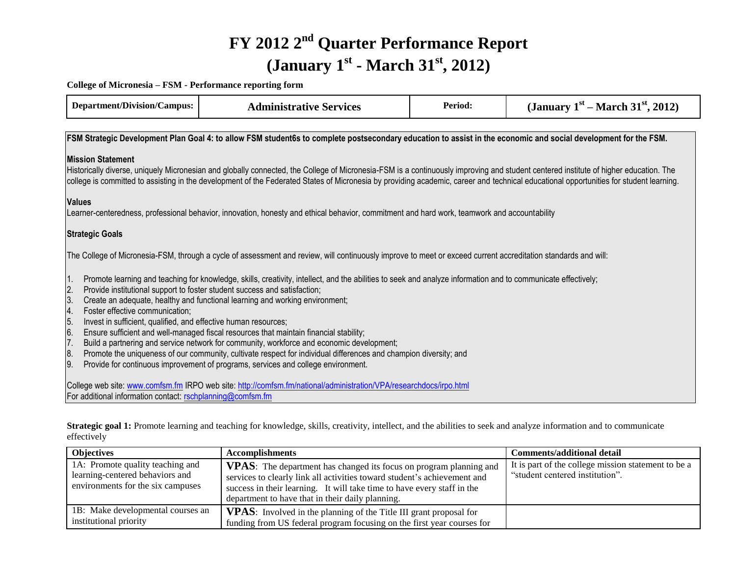## **FY 2012 2 nd Quarter Performance Report (January 1st - March 31st, 2012)**

**College of Micronesia – FSM - Performance reporting form**

| Department/Division/Campus:<br><b>Administrative Services</b> | Period: | 2012<br><b>March</b><br>$31^{\rm st}$<br>1 S L<br><b>January</b><br>— |
|---------------------------------------------------------------|---------|-----------------------------------------------------------------------|
|---------------------------------------------------------------|---------|-----------------------------------------------------------------------|

**FSM Strategic Development Plan Goal 4: to allow FSM student6s to complete postsecondary education to assist in the economic and social development for the FSM. Mission Statement**  Historically diverse, uniquely Micronesian and globally connected, the College of Micronesia-FSM is a continuously improving and student centered institute of higher education. The college is committed to assisting in the development of the Federated States of Micronesia by providing academic, career and technical educational opportunities for student learning. **Values** Learner-centeredness, professional behavior, innovation, honesty and ethical behavior, commitment and hard work, teamwork and accountability **Strategic Goals** The College of Micronesia-FSM, through a cycle of assessment and review, will continuously improve to meet or exceed current accreditation standards and will: 1. Promote learning and teaching for knowledge, skills, creativity, intellect, and the abilities to seek and analyze information and to communicate effectively; 2. Provide institutional support to foster student success and satisfaction; 3. Create an adequate, healthy and functional learning and working environment; 4. Foster effective communication; 5. Invest in sufficient, qualified, and effective human resources; 6. Ensure sufficient and well-managed fiscal resources that maintain financial stability; 7. Build a partnering and service network for community, workforce and economic development; 8. Promote the uniqueness of our community, cultivate respect for individual differences and champion diversity; and 9. Provide for continuous improvement of programs, services and college environment. College web site[: www.comfsm.fm](http://www.comfsm.fm/) IRPO web site:<http://comfsm.fm/national/administration/VPA/researchdocs/irpo.html> For additional information contact: [rschplanning@comfsm.fm](mailto:rschplanning@comfsm.fm)

**Strategic goal 1:** Promote learning and teaching for knowledge, skills, creativity, intellect, and the abilities to seek and analyze information and to communicate effectively

| <b>Objectives</b>                                                                                        | <b>Accomplishments</b>                                                                                                                                                                                                                                                                | Comments/additional detail                                                             |
|----------------------------------------------------------------------------------------------------------|---------------------------------------------------------------------------------------------------------------------------------------------------------------------------------------------------------------------------------------------------------------------------------------|----------------------------------------------------------------------------------------|
| 1A: Promote quality teaching and<br>learning-centered behaviors and<br>environments for the six campuses | <b>VPAS</b> : The department has changed its focus on program planning and<br>services to clearly link all activities toward student's achievement and<br>success in their learning. It will take time to have every staff in the<br>department to have that in their daily planning. | It is part of the college mission statement to be a<br>"student centered institution". |
| 1B: Make developmental courses an<br>institutional priority                                              | <b>VPAS:</b> Involved in the planning of the Title III grant proposal for<br>funding from US federal program focusing on the first year courses for                                                                                                                                   |                                                                                        |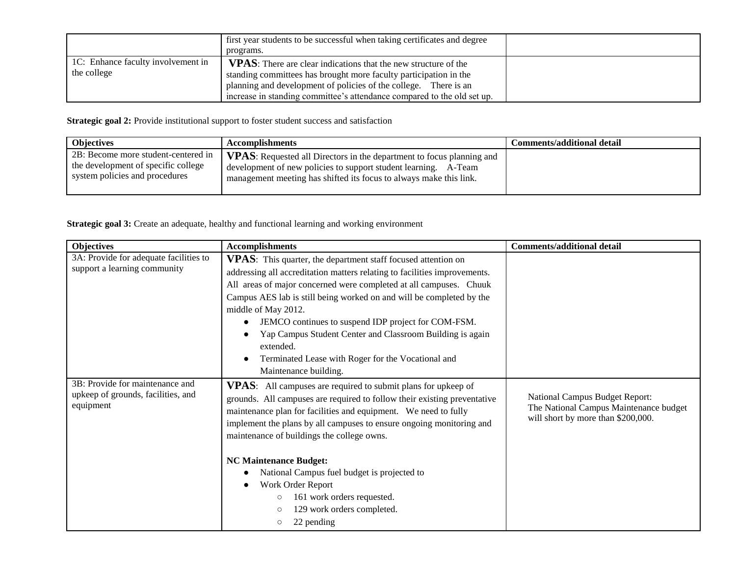|                                                   | first year students to be successful when taking certificates and degree                                                                                                                                                                                                                    |  |
|---------------------------------------------------|---------------------------------------------------------------------------------------------------------------------------------------------------------------------------------------------------------------------------------------------------------------------------------------------|--|
|                                                   | programs.                                                                                                                                                                                                                                                                                   |  |
| 1C: Enhance faculty involvement in<br>the college | <b>VPAS</b> : There are clear indications that the new structure of the<br>standing committees has brought more faculty participation in the<br>planning and development of policies of the college. There is an<br>increase in standing committee's attendance compared to the old set up. |  |

**Strategic goal 2:** Provide institutional support to foster student success and satisfaction

| <b>Objectives</b>                                                                                            | <b>Accomplishments</b>                                                                                                                                                                                                     | <b>Comments/additional detail</b> |
|--------------------------------------------------------------------------------------------------------------|----------------------------------------------------------------------------------------------------------------------------------------------------------------------------------------------------------------------------|-----------------------------------|
| 2B: Become more student-centered in<br>the development of specific college<br>system policies and procedures | <b>I</b> VPAS: Requested all Directors in the department to focus planning and<br>development of new policies to support student learning.<br>A-Team<br>management meeting has shifted its focus to always make this link. |                                   |

**Strategic goal 3:** Create an adequate, healthy and functional learning and working environment

| <b>Objectives</b>                               | <b>Accomplishments</b>                                                    | <b>Comments/additional detail</b>                                            |
|-------------------------------------------------|---------------------------------------------------------------------------|------------------------------------------------------------------------------|
| 3A: Provide for adequate facilities to          | <b>VPAS</b> : This quarter, the department staff focused attention on     |                                                                              |
| support a learning community                    | addressing all accreditation matters relating to facilities improvements. |                                                                              |
|                                                 | All areas of major concerned were completed at all campuses. Chuuk        |                                                                              |
|                                                 | Campus AES lab is still being worked on and will be completed by the      |                                                                              |
|                                                 | middle of May 2012.                                                       |                                                                              |
|                                                 | JEMCO continues to suspend IDP project for COM-FSM.                       |                                                                              |
|                                                 | Yap Campus Student Center and Classroom Building is again                 |                                                                              |
|                                                 | extended.                                                                 |                                                                              |
|                                                 | Terminated Lease with Roger for the Vocational and                        |                                                                              |
|                                                 | Maintenance building.                                                     |                                                                              |
| 3B: Provide for maintenance and                 | <b>VPAS:</b> All campuses are required to submit plans for upkeep of      |                                                                              |
| upkeep of grounds, facilities, and<br>equipment | grounds. All campuses are required to follow their existing preventative  | <b>National Campus Budget Report:</b>                                        |
|                                                 | maintenance plan for facilities and equipment. We need to fully           | The National Campus Maintenance budget<br>will short by more than \$200,000. |
|                                                 | implement the plans by all campuses to ensure ongoing monitoring and      |                                                                              |
|                                                 | maintenance of buildings the college owns.                                |                                                                              |
|                                                 |                                                                           |                                                                              |
|                                                 | <b>NC Maintenance Budget:</b>                                             |                                                                              |
|                                                 | National Campus fuel budget is projected to                               |                                                                              |
|                                                 | Work Order Report                                                         |                                                                              |
|                                                 | 161 work orders requested.<br>$\circ$                                     |                                                                              |
|                                                 | 129 work orders completed.<br>О                                           |                                                                              |
|                                                 | 22 pending<br>$\circ$                                                     |                                                                              |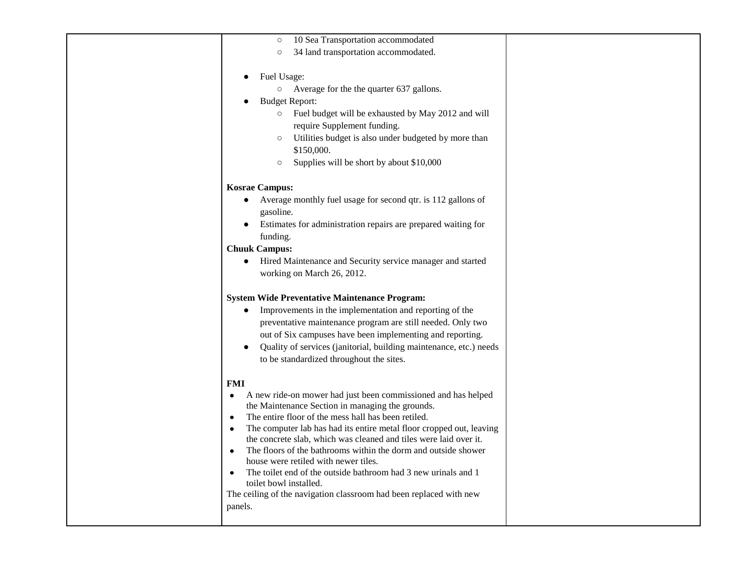| 10 Sea Transportation accommodated<br>$\circ$                               |  |
|-----------------------------------------------------------------------------|--|
| 34 land transportation accommodated.<br>$\circ$                             |  |
|                                                                             |  |
| Fuel Usage:                                                                 |  |
| Average for the the quarter 637 gallons.<br>$\circ$                         |  |
| <b>Budget Report:</b>                                                       |  |
|                                                                             |  |
| Fuel budget will be exhausted by May 2012 and will                          |  |
| require Supplement funding.                                                 |  |
| Utilities budget is also under budgeted by more than<br>$\circ$             |  |
| \$150,000.                                                                  |  |
| Supplies will be short by about \$10,000<br>$\circ$                         |  |
|                                                                             |  |
| <b>Kosrae Campus:</b>                                                       |  |
| Average monthly fuel usage for second qtr. is 112 gallons of                |  |
|                                                                             |  |
| gasoline.                                                                   |  |
| Estimates for administration repairs are prepared waiting for               |  |
| funding.                                                                    |  |
| <b>Chuuk Campus:</b>                                                        |  |
| Hired Maintenance and Security service manager and started                  |  |
| working on March 26, 2012.                                                  |  |
|                                                                             |  |
| <b>System Wide Preventative Maintenance Program:</b>                        |  |
| Improvements in the implementation and reporting of the                     |  |
| preventative maintenance program are still needed. Only two                 |  |
| out of Six campuses have been implementing and reporting.                   |  |
|                                                                             |  |
| Quality of services (janitorial, building maintenance, etc.) needs          |  |
| to be standardized throughout the sites.                                    |  |
|                                                                             |  |
| <b>FMI</b>                                                                  |  |
| A new ride-on mower had just been commissioned and has helped<br>$\bullet$  |  |
| the Maintenance Section in managing the grounds.                            |  |
| The entire floor of the mess hall has been retiled.<br>$\bullet$            |  |
| The computer lab has had its entire metal floor cropped out, leaving        |  |
| the concrete slab, which was cleaned and tiles were laid over it.           |  |
| The floors of the bathrooms within the dorm and outside shower              |  |
| house were retiled with newer tiles.                                        |  |
| The toilet end of the outside bathroom had 3 new urinals and 1<br>$\bullet$ |  |
| toilet bowl installed.                                                      |  |
| The ceiling of the navigation classroom had been replaced with new          |  |
| panels.                                                                     |  |
|                                                                             |  |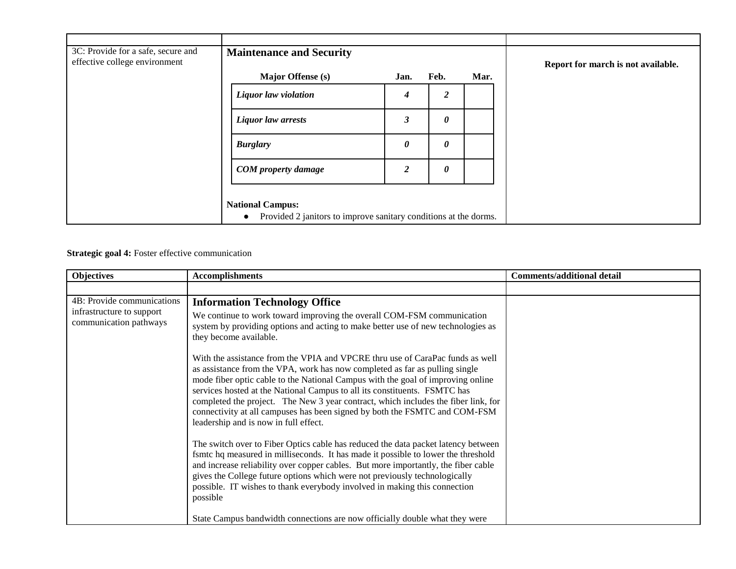| 3C: Provide for a safe, secure and<br>effective college environment | <b>Maintenance and Security</b>                                                                          |                |                       |      | Report for march is not available. |
|---------------------------------------------------------------------|----------------------------------------------------------------------------------------------------------|----------------|-----------------------|------|------------------------------------|
|                                                                     | <b>Major Offense</b> (s)                                                                                 | Jan.           | Feb.                  | Mar. |                                    |
|                                                                     | Liquor law violation                                                                                     | 4              | $\overline{2}$        |      |                                    |
|                                                                     | <b>Liquor law arrests</b>                                                                                | 3              | $\boldsymbol{\theta}$ |      |                                    |
|                                                                     | <b>Burglary</b>                                                                                          | 0              | $\boldsymbol{\theta}$ |      |                                    |
|                                                                     | <b>COM</b> property damage                                                                               | $\overline{2}$ | 0                     |      |                                    |
|                                                                     | <b>National Campus:</b><br>Provided 2 janitors to improve sanitary conditions at the dorms.<br>$\bullet$ |                |                       |      |                                    |

**Strategic goal 4:** Foster effective communication

| <b>Objectives</b>                                                                 | <b>Accomplishments</b>                                                                                                                                                                                                                                                                                                                                                                                                                                                                                                                                                                                                                                                                                                                                                                                                                                                                                                                                                                                                                                                                                                                                                                                                                                                                          | <b>Comments/additional detail</b> |
|-----------------------------------------------------------------------------------|-------------------------------------------------------------------------------------------------------------------------------------------------------------------------------------------------------------------------------------------------------------------------------------------------------------------------------------------------------------------------------------------------------------------------------------------------------------------------------------------------------------------------------------------------------------------------------------------------------------------------------------------------------------------------------------------------------------------------------------------------------------------------------------------------------------------------------------------------------------------------------------------------------------------------------------------------------------------------------------------------------------------------------------------------------------------------------------------------------------------------------------------------------------------------------------------------------------------------------------------------------------------------------------------------|-----------------------------------|
|                                                                                   |                                                                                                                                                                                                                                                                                                                                                                                                                                                                                                                                                                                                                                                                                                                                                                                                                                                                                                                                                                                                                                                                                                                                                                                                                                                                                                 |                                   |
| 4B: Provide communications<br>infrastructure to support<br>communication pathways | <b>Information Technology Office</b><br>We continue to work toward improving the overall COM-FSM communication<br>system by providing options and acting to make better use of new technologies as<br>they become available.<br>With the assistance from the VPIA and VPCRE thru use of CaraPac funds as well<br>as assistance from the VPA, work has now completed as far as pulling single<br>mode fiber optic cable to the National Campus with the goal of improving online<br>services hosted at the National Campus to all its constituents. FSMTC has<br>completed the project. The New 3 year contract, which includes the fiber link, for<br>connectivity at all campuses has been signed by both the FSMTC and COM-FSM<br>leadership and is now in full effect.<br>The switch over to Fiber Optics cable has reduced the data packet latency between<br>fsmtc hq measured in milliseconds. It has made it possible to lower the threshold<br>and increase reliability over copper cables. But more importantly, the fiber cable<br>gives the College future options which were not previously technologically<br>possible. IT wishes to thank everybody involved in making this connection<br>possible<br>State Campus bandwidth connections are now officially double what they were |                                   |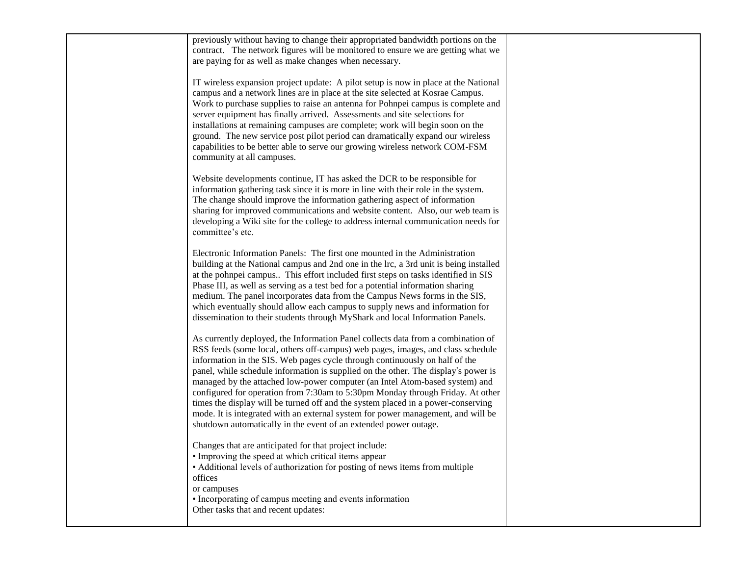| previously without having to change their appropriated bandwidth portions on the<br>contract. The network figures will be monitored to ensure we are getting what we |  |
|----------------------------------------------------------------------------------------------------------------------------------------------------------------------|--|
| are paying for as well as make changes when necessary.                                                                                                               |  |
|                                                                                                                                                                      |  |
| IT wireless expansion project update: A pilot setup is now in place at the National                                                                                  |  |
| campus and a network lines are in place at the site selected at Kosrae Campus.                                                                                       |  |
| Work to purchase supplies to raise an antenna for Pohnpei campus is complete and                                                                                     |  |
| server equipment has finally arrived. Assessments and site selections for                                                                                            |  |
| installations at remaining campuses are complete; work will begin soon on the                                                                                        |  |
| ground. The new service post pilot period can dramatically expand our wireless                                                                                       |  |
| capabilities to be better able to serve our growing wireless network COM-FSM                                                                                         |  |
| community at all campuses.                                                                                                                                           |  |
|                                                                                                                                                                      |  |
| Website developments continue, IT has asked the DCR to be responsible for                                                                                            |  |
| information gathering task since it is more in line with their role in the system.                                                                                   |  |
| The change should improve the information gathering aspect of information<br>sharing for improved communications and website content. Also, our web team is          |  |
| developing a Wiki site for the college to address internal communication needs for                                                                                   |  |
| committee's etc.                                                                                                                                                     |  |
|                                                                                                                                                                      |  |
| Electronic Information Panels: The first one mounted in the Administration                                                                                           |  |
| building at the National campus and 2nd one in the lrc, a 3rd unit is being installed                                                                                |  |
| at the pohnpei campus This effort included first steps on tasks identified in SIS                                                                                    |  |
| Phase III, as well as serving as a test bed for a potential information sharing                                                                                      |  |
| medium. The panel incorporates data from the Campus News forms in the SIS,                                                                                           |  |
| which eventually should allow each campus to supply news and information for                                                                                         |  |
| dissemination to their students through MyShark and local Information Panels.                                                                                        |  |
|                                                                                                                                                                      |  |
| As currently deployed, the Information Panel collects data from a combination of<br>RSS feeds (some local, others off-campus) web pages, images, and class schedule  |  |
| information in the SIS. Web pages cycle through continuously on half of the                                                                                          |  |
| panel, while schedule information is supplied on the other. The display's power is                                                                                   |  |
| managed by the attached low-power computer (an Intel Atom-based system) and                                                                                          |  |
| configured for operation from 7:30am to 5:30pm Monday through Friday. At other                                                                                       |  |
| times the display will be turned off and the system placed in a power-conserving                                                                                     |  |
| mode. It is integrated with an external system for power management, and will be                                                                                     |  |
| shutdown automatically in the event of an extended power outage.                                                                                                     |  |
|                                                                                                                                                                      |  |
| Changes that are anticipated for that project include:                                                                                                               |  |
| • Improving the speed at which critical items appear                                                                                                                 |  |
| • Additional levels of authorization for posting of news items from multiple                                                                                         |  |
| offices                                                                                                                                                              |  |
| or campuses<br>• Incorporating of campus meeting and events information                                                                                              |  |
| Other tasks that and recent updates:                                                                                                                                 |  |
|                                                                                                                                                                      |  |
|                                                                                                                                                                      |  |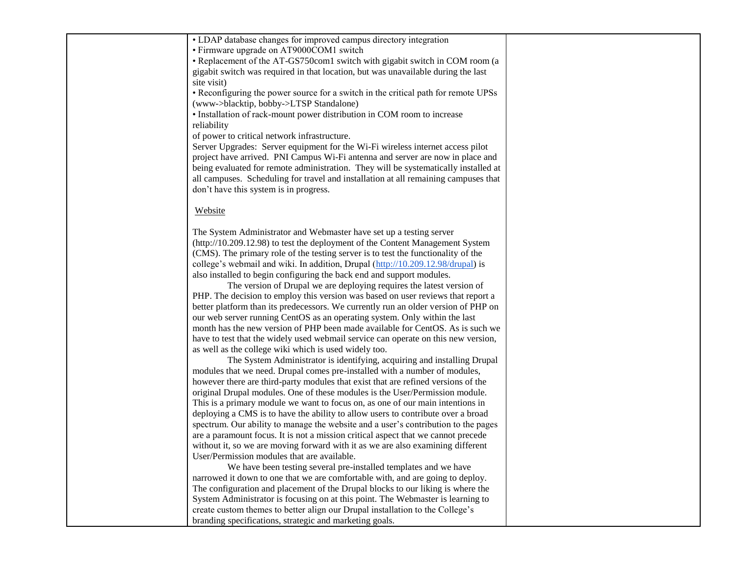| • LDAP database changes for improved campus directory integration                                                                                               |  |
|-----------------------------------------------------------------------------------------------------------------------------------------------------------------|--|
| • Firmware upgrade on AT9000COM1 switch                                                                                                                         |  |
| • Replacement of the AT-GS750com1 switch with gigabit switch in COM room (a                                                                                     |  |
| gigabit switch was required in that location, but was unavailable during the last                                                                               |  |
| site visit)                                                                                                                                                     |  |
| • Reconfiguring the power source for a switch in the critical path for remote UPSs                                                                              |  |
| (www->blacktip, bobby->LTSP Standalone)                                                                                                                         |  |
| • Installation of rack-mount power distribution in COM room to increase                                                                                         |  |
| reliability                                                                                                                                                     |  |
| of power to critical network infrastructure.                                                                                                                    |  |
| Server Upgrades: Server equipment for the Wi-Fi wireless internet access pilot                                                                                  |  |
| project have arrived. PNI Campus Wi-Fi antenna and server are now in place and                                                                                  |  |
| being evaluated for remote administration. They will be systematically installed at                                                                             |  |
| all campuses. Scheduling for travel and installation at all remaining campuses that                                                                             |  |
| don't have this system is in progress.                                                                                                                          |  |
|                                                                                                                                                                 |  |
| Website                                                                                                                                                         |  |
|                                                                                                                                                                 |  |
| The System Administrator and Webmaster have set up a testing server                                                                                             |  |
| (http://10.209.12.98) to test the deployment of the Content Management System                                                                                   |  |
| (CMS). The primary role of the testing server is to test the functionality of the                                                                               |  |
| college's webmail and wiki. In addition, Drupal (http://10.209.12.98/drupal) is                                                                                 |  |
| also installed to begin configuring the back end and support modules.                                                                                           |  |
| The version of Drupal we are deploying requires the latest version of                                                                                           |  |
| PHP. The decision to employ this version was based on user reviews that report a                                                                                |  |
| better platform than its predecessors. We currently run an older version of PHP on                                                                              |  |
| our web server running CentOS as an operating system. Only within the last<br>month has the new version of PHP been made available for CentOS. As is such we    |  |
|                                                                                                                                                                 |  |
| have to test that the widely used webmail service can operate on this new version,                                                                              |  |
| as well as the college wiki which is used widely too.                                                                                                           |  |
| The System Administrator is identifying, acquiring and installing Drupal                                                                                        |  |
| modules that we need. Drupal comes pre-installed with a number of modules,<br>however there are third-party modules that exist that are refined versions of the |  |
| original Drupal modules. One of these modules is the User/Permission module.                                                                                    |  |
| This is a primary module we want to focus on, as one of our main intentions in                                                                                  |  |
| deploying a CMS is to have the ability to allow users to contribute over a broad                                                                                |  |
| spectrum. Our ability to manage the website and a user's contribution to the pages                                                                              |  |
| are a paramount focus. It is not a mission critical aspect that we cannot precede                                                                               |  |
| without it, so we are moving forward with it as we are also examining different                                                                                 |  |
| User/Permission modules that are available.                                                                                                                     |  |
| We have been testing several pre-installed templates and we have                                                                                                |  |
| narrowed it down to one that we are comfortable with, and are going to deploy.                                                                                  |  |
| The configuration and placement of the Drupal blocks to our liking is where the                                                                                 |  |
| System Administrator is focusing on at this point. The Webmaster is learning to                                                                                 |  |
| create custom themes to better align our Drupal installation to the College's                                                                                   |  |
| branding specifications, strategic and marketing goals.                                                                                                         |  |
|                                                                                                                                                                 |  |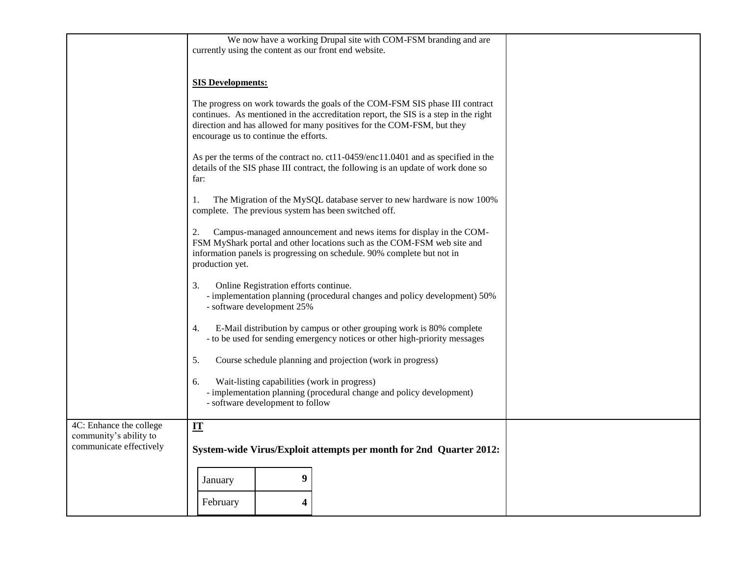|                                                   | We now have a working Drupal site with COM-FSM branding and are<br>currently using the content as our front end website.                                                                                                                                                               |
|---------------------------------------------------|----------------------------------------------------------------------------------------------------------------------------------------------------------------------------------------------------------------------------------------------------------------------------------------|
|                                                   | <b>SIS Developments:</b>                                                                                                                                                                                                                                                               |
|                                                   | The progress on work towards the goals of the COM-FSM SIS phase III contract<br>continues. As mentioned in the accreditation report, the SIS is a step in the right<br>direction and has allowed for many positives for the COM-FSM, but they<br>encourage us to continue the efforts. |
|                                                   | As per the terms of the contract no. ct11-0459/enc11.0401 and as specified in the<br>details of the SIS phase III contract, the following is an update of work done so<br>far:                                                                                                         |
|                                                   | The Migration of the MySQL database server to new hardware is now 100%<br>1.<br>complete. The previous system has been switched off.                                                                                                                                                   |
|                                                   | 2.<br>Campus-managed announcement and news items for display in the COM-<br>FSM MyShark portal and other locations such as the COM-FSM web site and<br>information panels is progressing on schedule. 90% complete but not in<br>production yet.                                       |
|                                                   | Online Registration efforts continue.<br>3.<br>- implementation planning (procedural changes and policy development) 50%<br>- software development 25%                                                                                                                                 |
|                                                   | E-Mail distribution by campus or other grouping work is 80% complete<br>4.<br>- to be used for sending emergency notices or other high-priority messages                                                                                                                               |
|                                                   | 5.<br>Course schedule planning and projection (work in progress)                                                                                                                                                                                                                       |
|                                                   | Wait-listing capabilities (work in progress)<br>6.<br>- implementation planning (procedural change and policy development)<br>- software development to follow                                                                                                                         |
| 4C: Enhance the college<br>community's ability to | $\mathbf{I} \mathbf{T}$                                                                                                                                                                                                                                                                |
| communicate effectively                           | System-wide Virus/Exploit attempts per month for 2nd Quarter 2012:                                                                                                                                                                                                                     |
|                                                   | 9<br>January                                                                                                                                                                                                                                                                           |
|                                                   | February<br>4                                                                                                                                                                                                                                                                          |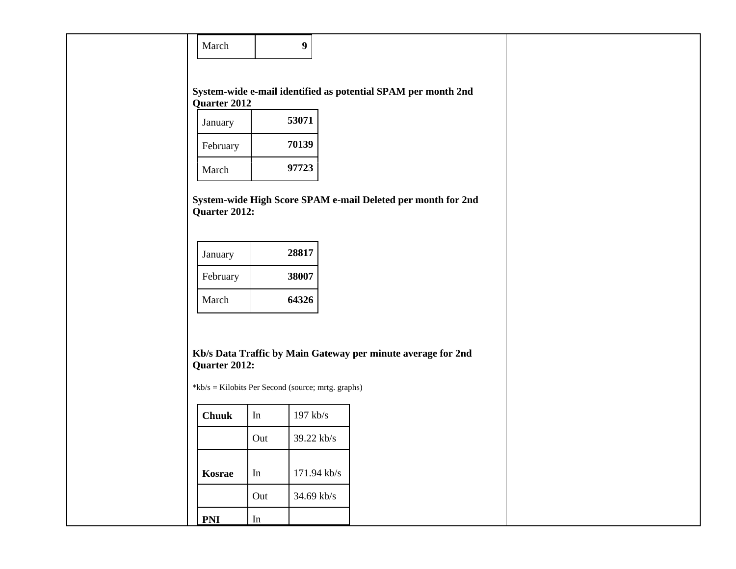| Quarter 2012  |                                                              |                                                    | System-wide e-mail identified as potential SPAM per month 2nd |  |  |  |
|---------------|--------------------------------------------------------------|----------------------------------------------------|---------------------------------------------------------------|--|--|--|
| January       |                                                              | 53071                                              |                                                               |  |  |  |
| February      |                                                              | 70139                                              |                                                               |  |  |  |
| March         |                                                              | 97723                                              |                                                               |  |  |  |
|               |                                                              |                                                    | System-wide High Score SPAM e-mail Deleted per month for 2nd  |  |  |  |
| Quarter 2012: |                                                              |                                                    |                                                               |  |  |  |
|               |                                                              |                                                    |                                                               |  |  |  |
| January       |                                                              | 28817                                              |                                                               |  |  |  |
| February      |                                                              | 38007                                              |                                                               |  |  |  |
| March         |                                                              | 64326                                              |                                                               |  |  |  |
|               |                                                              |                                                    |                                                               |  |  |  |
|               |                                                              |                                                    |                                                               |  |  |  |
|               |                                                              |                                                    |                                                               |  |  |  |
|               | Kb/s Data Traffic by Main Gateway per minute average for 2nd |                                                    |                                                               |  |  |  |
| Quarter 2012: |                                                              |                                                    |                                                               |  |  |  |
|               |                                                              | *kb/s = Kilobits Per Second (source; mrtg. graphs) |                                                               |  |  |  |
| <b>Chuuk</b>  | $\rm{In}$                                                    | $197$ kb/s                                         |                                                               |  |  |  |
|               | Out                                                          | 39.22 kb/s                                         |                                                               |  |  |  |
| Kosrae        | In                                                           | 171.94 kb/s                                        |                                                               |  |  |  |
|               | Out                                                          | 34.69 kb/s                                         |                                                               |  |  |  |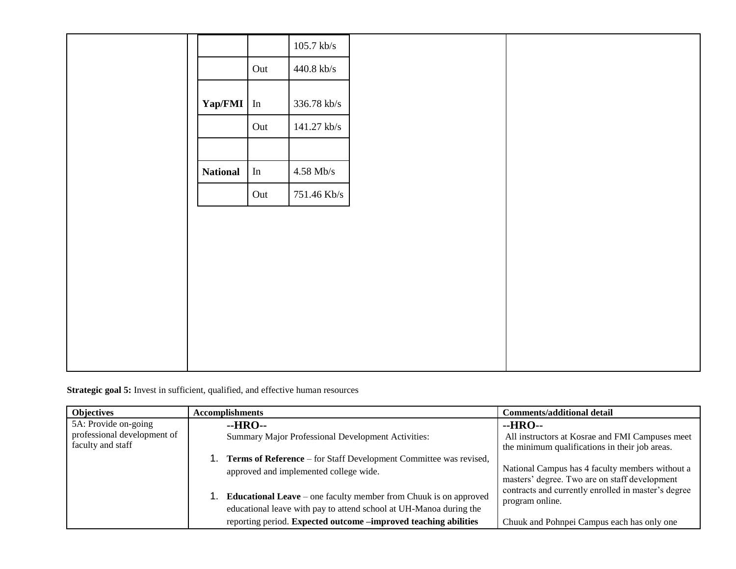|                 |           | $105.7$ kb/s     |
|-----------------|-----------|------------------|
|                 | Out       | 440.8 kb/s       |
| Yap/FMI $\ln$   |           | 336.78 kb/s      |
|                 | Out       | 141.27 kb/s      |
|                 |           |                  |
| <b>National</b> | $\rm{In}$ | $4.58$ Mb/s $\,$ |
|                 | Out       | 751.46 Kb/s      |
|                 |           |                  |
|                 |           |                  |
|                 |           |                  |
|                 |           |                  |
|                 |           |                  |
|                 |           |                  |
|                 |           |                  |
|                 |           |                  |
|                 |           |                  |

**Strategic goal 5:** Invest in sufficient, qualified, and effective human resources

| <b>Objectives</b>                                                        | <b>Accomplishments</b>                                                                                                                                                                                       | <b>Comments/additional detail</b>                                                                                    |
|--------------------------------------------------------------------------|--------------------------------------------------------------------------------------------------------------------------------------------------------------------------------------------------------------|----------------------------------------------------------------------------------------------------------------------|
| 5A: Provide on-going<br>professional development of<br>faculty and staff | --HRO--<br>Summary Major Professional Development Activities:                                                                                                                                                | $-HRO-$<br>All instructors at Kosrae and FMI Campuses meet<br>the minimum qualifications in their job areas.         |
|                                                                          | 1. Terms of Reference – for Staff Development Committee was revised,<br>approved and implemented college wide.                                                                                               | National Campus has 4 faculty members without a<br>masters' degree. Two are on staff development                     |
|                                                                          | 1. Educational Leave – one faculty member from Chuuk is on approved<br>educational leave with pay to attend school at UH-Manoa during the<br>reporting period. Expected outcome -improved teaching abilities | contracts and currently enrolled in master's degree<br>program online.<br>Chuuk and Pohnpei Campus each has only one |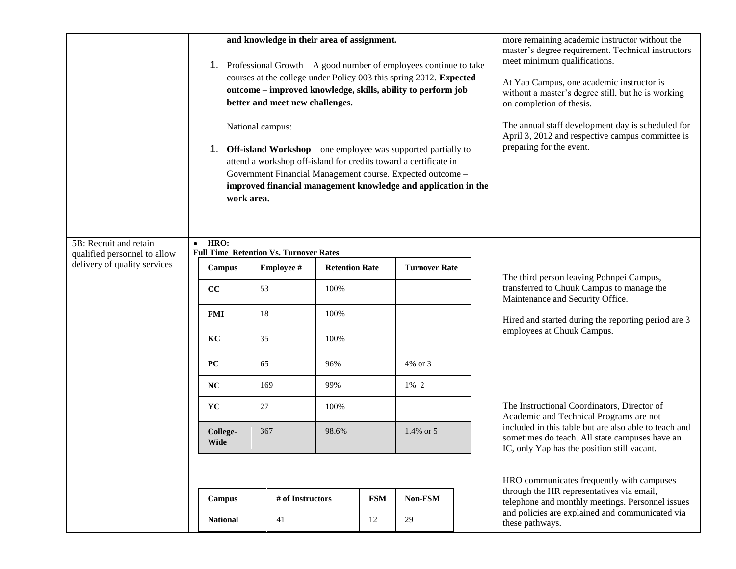|                                                        |           | work area.              | and knowledge in their area of assignment.<br>1. Professional Growth $- A$ good number of employees continue to take<br>courses at the college under Policy 003 this spring 2012. Expected<br>outcome - improved knowledge, skills, ability to perform job<br>better and meet new challenges.<br>National campus:<br>1. Off-island Workshop - one employee was supported partially to<br>attend a workshop off-island for credits toward a certificate in<br>Government Financial Management course. Expected outcome -<br>improved financial management knowledge and application in the |                       |            |                      |  | more remaining academic instructor without the<br>master's degree requirement. Technical instructors<br>meet minimum qualifications.<br>At Yap Campus, one academic instructor is<br>without a master's degree still, but he is working<br>on completion of thesis.<br>The annual staff development day is scheduled for<br>April 3, 2012 and respective campus committee is<br>preparing for the event. |  |  |  |  |  |  |  |  |    |    |      |  |  |  |                                                                                        |
|--------------------------------------------------------|-----------|-------------------------|-------------------------------------------------------------------------------------------------------------------------------------------------------------------------------------------------------------------------------------------------------------------------------------------------------------------------------------------------------------------------------------------------------------------------------------------------------------------------------------------------------------------------------------------------------------------------------------------|-----------------------|------------|----------------------|--|----------------------------------------------------------------------------------------------------------------------------------------------------------------------------------------------------------------------------------------------------------------------------------------------------------------------------------------------------------------------------------------------------------|--|--|--|--|--|--|--|--|----|----|------|--|--|--|----------------------------------------------------------------------------------------|
| 5B: Recruit and retain<br>qualified personnel to allow | $\bullet$ | HRO:                    | <b>Full Time Retention Vs. Turnover Rates</b>                                                                                                                                                                                                                                                                                                                                                                                                                                                                                                                                             |                       |            |                      |  |                                                                                                                                                                                                                                                                                                                                                                                                          |  |  |  |  |  |  |  |  |    |    |      |  |  |  |                                                                                        |
| delivery of quality services                           |           | Campus                  | <b>Employee #</b>                                                                                                                                                                                                                                                                                                                                                                                                                                                                                                                                                                         | <b>Retention Rate</b> |            | <b>Turnover Rate</b> |  |                                                                                                                                                                                                                                                                                                                                                                                                          |  |  |  |  |  |  |  |  |    |    |      |  |  |  |                                                                                        |
|                                                        |           | cc                      | 53                                                                                                                                                                                                                                                                                                                                                                                                                                                                                                                                                                                        | 100%                  |            |                      |  | The third person leaving Pohnpei Campus,<br>transferred to Chuuk Campus to manage the<br>Maintenance and Security Office.                                                                                                                                                                                                                                                                                |  |  |  |  |  |  |  |  |    |    |      |  |  |  |                                                                                        |
|                                                        |           | <b>FMI</b>              | 18                                                                                                                                                                                                                                                                                                                                                                                                                                                                                                                                                                                        | 100%                  |            |                      |  | Hired and started during the reporting period are 3                                                                                                                                                                                                                                                                                                                                                      |  |  |  |  |  |  |  |  |    |    |      |  |  |  |                                                                                        |
|                                                        |           | KC                      | 35                                                                                                                                                                                                                                                                                                                                                                                                                                                                                                                                                                                        | 100%                  |            |                      |  | employees at Chuuk Campus.                                                                                                                                                                                                                                                                                                                                                                               |  |  |  |  |  |  |  |  |    |    |      |  |  |  |                                                                                        |
|                                                        |           | <b>PC</b>               | 65                                                                                                                                                                                                                                                                                                                                                                                                                                                                                                                                                                                        | 96%                   |            | 4% or 3              |  |                                                                                                                                                                                                                                                                                                                                                                                                          |  |  |  |  |  |  |  |  |    |    |      |  |  |  |                                                                                        |
|                                                        |           | NC                      | 169                                                                                                                                                                                                                                                                                                                                                                                                                                                                                                                                                                                       | 99%                   |            | 1% 2                 |  |                                                                                                                                                                                                                                                                                                                                                                                                          |  |  |  |  |  |  |  |  |    |    |      |  |  |  |                                                                                        |
|                                                        |           |                         |                                                                                                                                                                                                                                                                                                                                                                                                                                                                                                                                                                                           |                       |            |                      |  |                                                                                                                                                                                                                                                                                                                                                                                                          |  |  |  |  |  |  |  |  | YC | 27 | 100% |  |  |  | The Instructional Coordinators, Director of<br>Academic and Technical Programs are not |
|                                                        |           | College-<br><b>Wide</b> | 367                                                                                                                                                                                                                                                                                                                                                                                                                                                                                                                                                                                       | 98.6%                 | 1.4% or 5  |                      |  | included in this table but are also able to teach and<br>sometimes do teach. All state campuses have an<br>IC, only Yap has the position still vacant.                                                                                                                                                                                                                                                   |  |  |  |  |  |  |  |  |    |    |      |  |  |  |                                                                                        |
|                                                        |           |                         |                                                                                                                                                                                                                                                                                                                                                                                                                                                                                                                                                                                           |                       |            |                      |  | HRO communicates frequently with campuses                                                                                                                                                                                                                                                                                                                                                                |  |  |  |  |  |  |  |  |    |    |      |  |  |  |                                                                                        |
|                                                        |           | Campus                  | # of Instructors                                                                                                                                                                                                                                                                                                                                                                                                                                                                                                                                                                          |                       | <b>FSM</b> | Non-FSM              |  | through the HR representatives via email,<br>telephone and monthly meetings. Personnel issues                                                                                                                                                                                                                                                                                                            |  |  |  |  |  |  |  |  |    |    |      |  |  |  |                                                                                        |
|                                                        |           | <b>National</b>         | 41                                                                                                                                                                                                                                                                                                                                                                                                                                                                                                                                                                                        |                       | 12         | 29                   |  | and policies are explained and communicated via<br>these pathways.                                                                                                                                                                                                                                                                                                                                       |  |  |  |  |  |  |  |  |    |    |      |  |  |  |                                                                                        |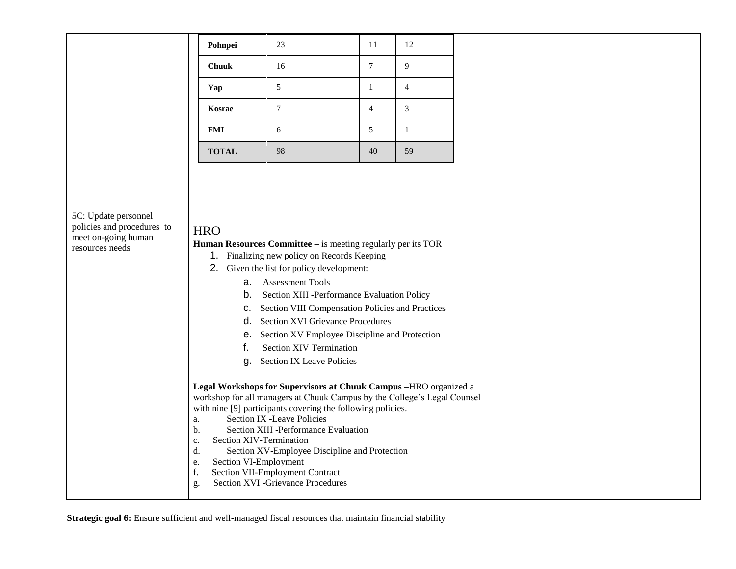|                                                                                              |                                                                                                                                                                                                                                                                                                           | Pohnpei                                          | 23                                                                                                                                                                                                                                                                                                                                                                                                                 | 11             | 12             |  |  |
|----------------------------------------------------------------------------------------------|-----------------------------------------------------------------------------------------------------------------------------------------------------------------------------------------------------------------------------------------------------------------------------------------------------------|--------------------------------------------------|--------------------------------------------------------------------------------------------------------------------------------------------------------------------------------------------------------------------------------------------------------------------------------------------------------------------------------------------------------------------------------------------------------------------|----------------|----------------|--|--|
|                                                                                              |                                                                                                                                                                                                                                                                                                           | <b>Chuuk</b>                                     | 16                                                                                                                                                                                                                                                                                                                                                                                                                 | $\tau$         | 9              |  |  |
|                                                                                              |                                                                                                                                                                                                                                                                                                           | Yap                                              | 5                                                                                                                                                                                                                                                                                                                                                                                                                  | 1              | $\overline{4}$ |  |  |
|                                                                                              |                                                                                                                                                                                                                                                                                                           | Kosrae                                           | $\overline{7}$                                                                                                                                                                                                                                                                                                                                                                                                     | $\overline{4}$ | 3              |  |  |
|                                                                                              |                                                                                                                                                                                                                                                                                                           | <b>FMI</b>                                       | $\sqrt{6}$                                                                                                                                                                                                                                                                                                                                                                                                         | 5              | $\mathbf{1}$   |  |  |
|                                                                                              |                                                                                                                                                                                                                                                                                                           | <b>TOTAL</b>                                     | 98                                                                                                                                                                                                                                                                                                                                                                                                                 | 40             | 59             |  |  |
| 5C: Update personnel<br>policies and procedures to<br>meet on-going human<br>resources needs |                                                                                                                                                                                                                                                                                                           | <b>HRO</b>                                       | Human Resources Committee - is meeting regularly per its TOR<br>1. Finalizing new policy on Records Keeping<br>2. Given the list for policy development:                                                                                                                                                                                                                                                           |                |                |  |  |
|                                                                                              | a. Assessment Tools<br>b. Section XIII -Performance Evaluation Policy<br>C. Section VIII Compensation Policies and Practices<br>d. Section XVI Grievance Procedures<br>e. Section XV Employee Discipline and Protection<br>f.<br><b>Section XIV Termination</b><br><b>Section IX Leave Policies</b><br>q. |                                                  |                                                                                                                                                                                                                                                                                                                                                                                                                    |                |                |  |  |
|                                                                                              | a.<br>b.<br>c.<br>d.<br>e.<br>f.<br>g.                                                                                                                                                                                                                                                                    | Section XIV-Termination<br>Section VI-Employment | Legal Workshops for Supervisors at Chuuk Campus -HRO organized a<br>workshop for all managers at Chuuk Campus by the College's Legal Counsel<br>with nine [9] participants covering the following policies.<br>Section IX -Leave Policies<br>Section XIII -Performance Evaluation<br>Section XV-Employee Discipline and Protection<br>Section VII-Employment Contract<br><b>Section XVI</b> - Grievance Procedures |                |                |  |  |

Strategic goal 6: Ensure sufficient and well-managed fiscal resources that maintain financial stability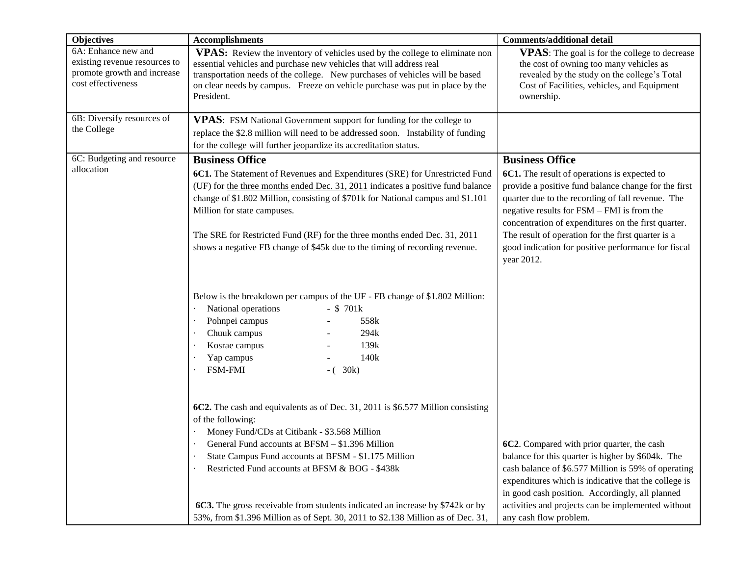| <b>Objectives</b>                                                                                         | <b>Accomplishments</b>                                                                                                                                                                                                                                                                                                                                                                                                                                                                                                                                                                                                                                                                                                                         | <b>Comments/additional detail</b>                                                                                                                                                                                                                                                                                                                                                                                   |
|-----------------------------------------------------------------------------------------------------------|------------------------------------------------------------------------------------------------------------------------------------------------------------------------------------------------------------------------------------------------------------------------------------------------------------------------------------------------------------------------------------------------------------------------------------------------------------------------------------------------------------------------------------------------------------------------------------------------------------------------------------------------------------------------------------------------------------------------------------------------|---------------------------------------------------------------------------------------------------------------------------------------------------------------------------------------------------------------------------------------------------------------------------------------------------------------------------------------------------------------------------------------------------------------------|
| 6A: Enhance new and<br>existing revenue resources to<br>promote growth and increase<br>cost effectiveness | VPAS: Review the inventory of vehicles used by the college to eliminate non<br>essential vehicles and purchase new vehicles that will address real<br>transportation needs of the college. New purchases of vehicles will be based<br>on clear needs by campus. Freeze on vehicle purchase was put in place by the<br>President.                                                                                                                                                                                                                                                                                                                                                                                                               | <b>VPAS</b> : The goal is for the college to decrease<br>the cost of owning too many vehicles as<br>revealed by the study on the college's Total<br>Cost of Facilities, vehicles, and Equipment<br>ownership.                                                                                                                                                                                                       |
| 6B: Diversify resources of<br>the College                                                                 | VPAS: FSM National Government support for funding for the college to<br>replace the \$2.8 million will need to be addressed soon. Instability of funding<br>for the college will further jeopardize its accreditation status.                                                                                                                                                                                                                                                                                                                                                                                                                                                                                                                  |                                                                                                                                                                                                                                                                                                                                                                                                                     |
| 6C: Budgeting and resource<br>allocation                                                                  | <b>Business Office</b><br>6C1. The Statement of Revenues and Expenditures (SRE) for Unrestricted Fund<br>(UF) for the three months ended Dec. 31, 2011 indicates a positive fund balance<br>change of \$1.802 Million, consisting of \$701k for National campus and \$1.101<br>Million for state campuses.<br>The SRE for Restricted Fund (RF) for the three months ended Dec. 31, 2011<br>shows a negative FB change of \$45k due to the timing of recording revenue.<br>Below is the breakdown per campus of the UF - FB change of \$1.802 Million:<br>National operations<br>$-$ \$ 701 $k$<br>Pohnpei campus<br>558k<br>Chuuk campus<br>294k<br>Kosrae campus<br>139k<br>140 <sub>k</sub><br>Yap campus<br><b>FSM-FMI</b><br>30k)<br>$-$ ( | <b>Business Office</b><br>6C1. The result of operations is expected to<br>provide a positive fund balance change for the first<br>quarter due to the recording of fall revenue. The<br>negative results for FSM - FMI is from the<br>concentration of expenditures on the first quarter.<br>The result of operation for the first quarter is a<br>good indication for positive performance for fiscal<br>year 2012. |
|                                                                                                           | 6C2. The cash and equivalents as of Dec. 31, 2011 is \$6.577 Million consisting<br>of the following:<br>Money Fund/CDs at Citibank - \$3.568 Million<br>General Fund accounts at BFSM - \$1.396 Million<br>State Campus Fund accounts at BFSM - \$1.175 Million<br>Restricted Fund accounts at BFSM & BOG - \$438k<br>6C3. The gross receivable from students indicated an increase by \$742k or by<br>53%, from \$1.396 Million as of Sept. 30, 2011 to \$2.138 Million as of Dec. 31,                                                                                                                                                                                                                                                        | 6C2. Compared with prior quarter, the cash<br>balance for this quarter is higher by \$604k. The<br>cash balance of \$6.577 Million is 59% of operating<br>expenditures which is indicative that the college is<br>in good cash position. Accordingly, all planned<br>activities and projects can be implemented without<br>any cash flow problem.                                                                   |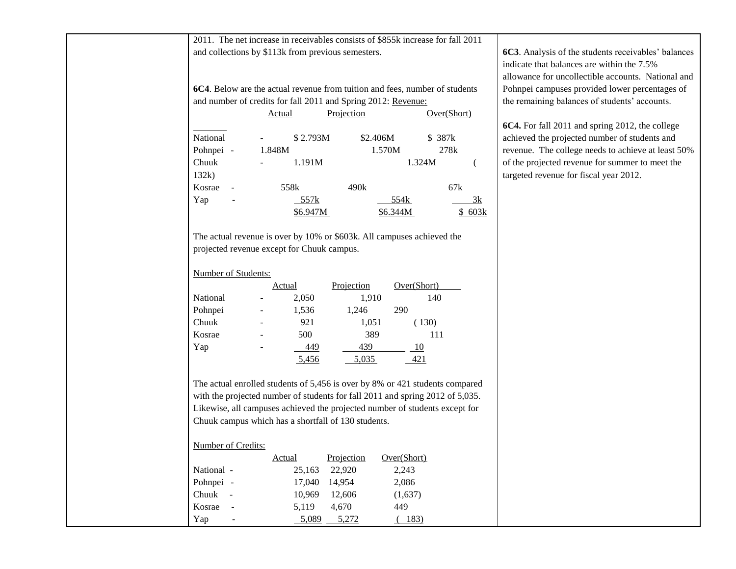2011. The net increase in receivables consists of \$855k increase for fall 2011 and collections by \$113k from previous semesters.

**6C4**. Below are the actual revenue from tuition and fees, number of students and number of credits for fall 2011 and Spring 2012: Revenue:

|                 | Actual   | Projection | Over(Short) |
|-----------------|----------|------------|-------------|
| <b>National</b> | \$2.793M | \$2.406M   | \$ 387k     |
| Pohnpei -       | 1.848M   | 1.570M     | 278k        |
| Chuuk<br>132k)  | 1.191M   |            | 1.324M      |
| Kosrae          | 558k     | 490k       | 67k         |
| Yap<br>-        | 557k     | 554k       | 3k          |
|                 | \$6.947M | \$6.344M   | 603k        |

The actual revenue is over by 10% or \$603k. All campuses achieved the projected revenue except for Chuuk campus.

Number of Students:

|                 | Actual |       | Projection | Over(Short) |
|-----------------|--------|-------|------------|-------------|
| <b>National</b> |        | 2,050 | 1,910      | 140         |
| Pohnpei         | -      | 1,536 | 1,246      | 290         |
| Chuuk           |        | 921   | 1,051      | 130)        |
| Kosrae          |        | 500   | 389        | 111         |
| Yap             | -      | 449   | 439        | 10          |
|                 |        | 5,456 | 5,035      | 421         |

The actual enrolled students of 5,456 is over by 8% or 421 students compared with the projected number of students for fall 2011 and spring 2012 of 5,035. Likewise, all campuses achieved the projected number of students except for Chuuk campus which has a shortfall of 130 students.

## Number of Credits:

|            | Actual | Projection | Over(Short) |
|------------|--------|------------|-------------|
| National - | 25,163 | 22,920     | 2,243       |
| Pohnpei -  | 17,040 | 14.954     | 2,086       |
| Chuuk      | 10.969 | 12.606     | (1,637)     |
| Kosrae     | 5.119  | 4.670      | 449         |
| Yap        | 5,089  | 5.272      | 183)        |

**6C3**. Analysis of the students receivables' balances indicate that balances are within the 7.5% allowance for uncollectible accounts. National and Pohnpei campuses provided lower percentages of the remaining balances of students' accounts.

**6C4.** For fall 2011 and spring 2012, the college achieved the projected number of students and revenue. The college needs to achieve at least 50% of the projected revenue for summer to meet the targeted revenue for fiscal year 2012.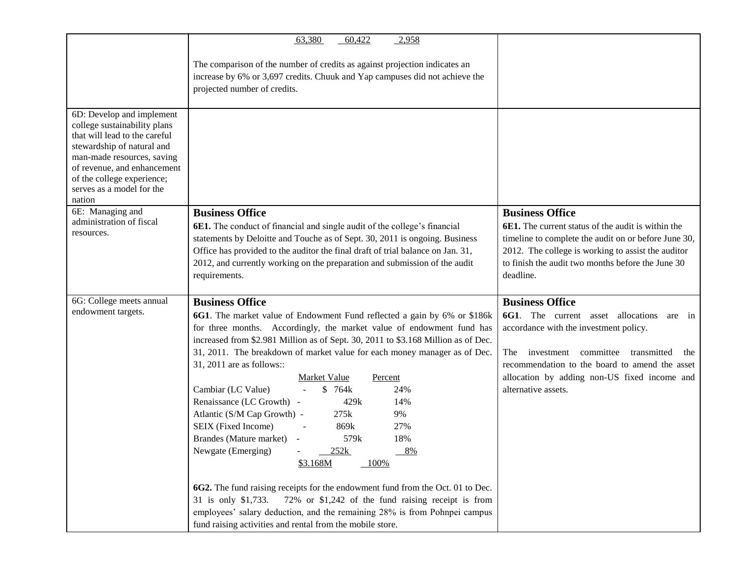|                                                                                                                                                                                                                                                            | 63,380<br>60,422<br>2,958                                                                                                                                                                                                                                                                                                                                                                                                                                                                                                                                                                                                                               |                                                                                                                                                                                                                                                                      |
|------------------------------------------------------------------------------------------------------------------------------------------------------------------------------------------------------------------------------------------------------------|---------------------------------------------------------------------------------------------------------------------------------------------------------------------------------------------------------------------------------------------------------------------------------------------------------------------------------------------------------------------------------------------------------------------------------------------------------------------------------------------------------------------------------------------------------------------------------------------------------------------------------------------------------|----------------------------------------------------------------------------------------------------------------------------------------------------------------------------------------------------------------------------------------------------------------------|
|                                                                                                                                                                                                                                                            | The comparison of the number of credits as against projection indicates an<br>increase by 6% or 3,697 credits. Chuuk and Yap campuses did not achieve the<br>projected number of credits.                                                                                                                                                                                                                                                                                                                                                                                                                                                               |                                                                                                                                                                                                                                                                      |
| 6D: Develop and implement<br>college sustainability plans<br>that will lead to the careful<br>stewardship of natural and<br>man-made resources, saving<br>of revenue, and enhancement<br>of the college experience;<br>serves as a model for the<br>nation |                                                                                                                                                                                                                                                                                                                                                                                                                                                                                                                                                                                                                                                         |                                                                                                                                                                                                                                                                      |
| 6E: Managing and<br>administration of fiscal<br>resources.                                                                                                                                                                                                 | <b>Business Office</b><br>6E1. The conduct of financial and single audit of the college's financial<br>statements by Deloitte and Touche as of Sept. 30, 2011 is ongoing. Business<br>Office has provided to the auditor the final draft of trial balance on Jan. 31,<br>2012, and currently working on the preparation and submission of the audit<br>requirements.                                                                                                                                                                                                                                                                                    | <b>Business Office</b><br>6E1. The current status of the audit is within the<br>timeline to complete the audit on or before June 30,<br>2012. The college is working to assist the auditor<br>to finish the audit two months before the June 30<br>deadline.         |
| 6G: College meets annual                                                                                                                                                                                                                                   | <b>Business Office</b>                                                                                                                                                                                                                                                                                                                                                                                                                                                                                                                                                                                                                                  | <b>Business Office</b>                                                                                                                                                                                                                                               |
| endowment targets.                                                                                                                                                                                                                                         | 6G1. The market value of Endowment Fund reflected a gain by 6% or \$186k<br>for three months. Accordingly, the market value of endowment fund has<br>increased from \$2.981 Million as of Sept. 30, 2011 to \$3.168 Million as of Dec.<br>31, 2011. The breakdown of market value for each money manager as of Dec.<br>$31, 2011$ are as follows::<br>Market Value<br>Percent<br>Cambiar (LC Value)<br>\$764k<br>24%<br>Renaissance (LC Growth) -<br>429k<br>14%<br>Atlantic (S/M Cap Growth) -<br>9%<br>275k<br>SEIX (Fixed Income)<br>27%<br>869k<br>Brandes (Mature market) -<br>579k<br>18%<br>Newgate (Emerging)<br>252k<br>8%<br>\$3.168M<br>100% | 6G1. The current asset<br>allocations are in<br>accordance with the investment policy.<br>The<br>committee transmitted<br>investment<br>the<br>recommendation to the board to amend the asset<br>allocation by adding non-US fixed income and<br>alternative assets. |
|                                                                                                                                                                                                                                                            | 6G2. The fund raising receipts for the endowment fund from the Oct. 01 to Dec.<br>31 is only \$1,733.<br>72% or \$1,242 of the fund raising receipt is from<br>employees' salary deduction, and the remaining 28% is from Pohnpei campus<br>fund raising activities and rental from the mobile store.                                                                                                                                                                                                                                                                                                                                                   |                                                                                                                                                                                                                                                                      |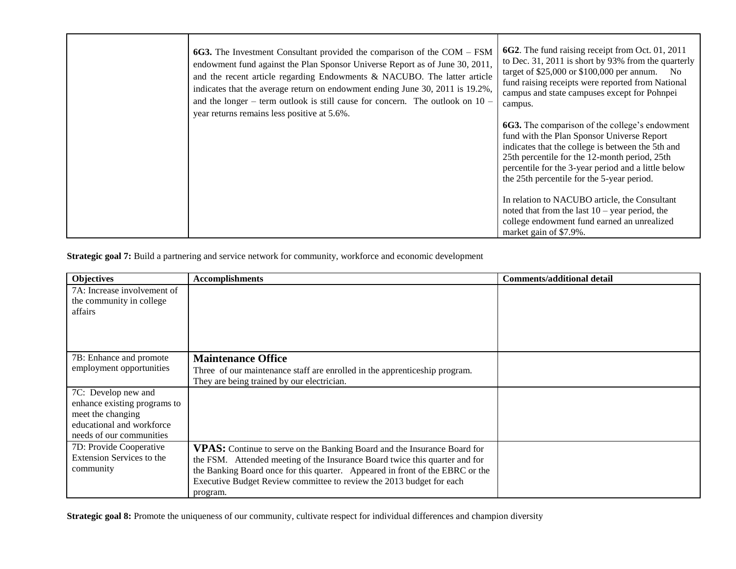| 6G3. The Investment Consultant provided the comparison of the COM – FSM<br>endowment fund against the Plan Sponsor Universe Report as of June 30, 2011,<br>and the recent article regarding Endowments & NACUBO. The latter article<br>indicates that the average return on endowment ending June 30, 2011 is 19.2%,<br>and the longer – term outlook is still cause for concern. The outlook on $10 -$<br>year returns remains less positive at 5.6%. | 6G2. The fund raising receipt from Oct. 01, 2011<br>to Dec. 31, 2011 is short by 93% from the quarterly<br>target of $$25,000$ or $$100,000$ per annum.<br>No.<br>fund raising receipts were reported from National<br>campus and state campuses except for Pohnpei<br>campus.<br><b>6G3.</b> The comparison of the college's endowment<br>fund with the Plan Sponsor Universe Report<br>indicates that the college is between the 5th and<br>25th percentile for the 12-month period, 25th<br>percentile for the 3-year period and a little below<br>the 25th percentile for the 5-year period. |
|--------------------------------------------------------------------------------------------------------------------------------------------------------------------------------------------------------------------------------------------------------------------------------------------------------------------------------------------------------------------------------------------------------------------------------------------------------|--------------------------------------------------------------------------------------------------------------------------------------------------------------------------------------------------------------------------------------------------------------------------------------------------------------------------------------------------------------------------------------------------------------------------------------------------------------------------------------------------------------------------------------------------------------------------------------------------|
|                                                                                                                                                                                                                                                                                                                                                                                                                                                        | In relation to NACUBO article, the Consultant<br>noted that from the last $10 - year$ period, the<br>college endowment fund earned an unrealized<br>market gain of \$7.9%.                                                                                                                                                                                                                                                                                                                                                                                                                       |

**Strategic goal 7:** Build a partnering and service network for community, workforce and economic development

| <b>Objectives</b>                | <b>Accomplishments</b>                                                          | <b>Comments/additional detail</b> |
|----------------------------------|---------------------------------------------------------------------------------|-----------------------------------|
| 7A: Increase involvement of      |                                                                                 |                                   |
| the community in college         |                                                                                 |                                   |
| affairs                          |                                                                                 |                                   |
|                                  |                                                                                 |                                   |
|                                  |                                                                                 |                                   |
|                                  |                                                                                 |                                   |
| 7B: Enhance and promote          | <b>Maintenance Office</b>                                                       |                                   |
| employment opportunities         | Three of our maintenance staff are enrolled in the apprenticeship program.      |                                   |
|                                  | They are being trained by our electrician.                                      |                                   |
| 7C: Develop new and              |                                                                                 |                                   |
| enhance existing programs to     |                                                                                 |                                   |
| meet the changing                |                                                                                 |                                   |
| educational and workforce        |                                                                                 |                                   |
| needs of our communities         |                                                                                 |                                   |
| 7D: Provide Cooperative          | <b>VPAS:</b> Continue to serve on the Banking Board and the Insurance Board for |                                   |
| <b>Extension Services to the</b> | the FSM. Attended meeting of the Insurance Board twice this quarter and for     |                                   |
| community                        | the Banking Board once for this quarter. Appeared in front of the EBRC or the   |                                   |
|                                  | Executive Budget Review committee to review the 2013 budget for each            |                                   |
|                                  | program.                                                                        |                                   |

**Strategic goal 8:** Promote the uniqueness of our community, cultivate respect for individual differences and champion diversity